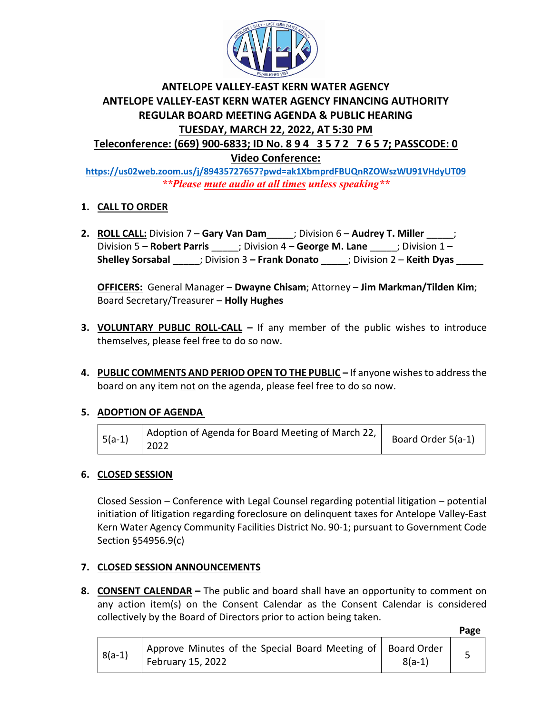

# **ANTELOPE VALLEY-EAST KERN WATER AGENCY ANTELOPE VALLEY-EAST KERN WATER AGENCY FINANCING AUTHORITY REGULAR BOARD MEETING AGENDA & PUBLIC HEARING TUESDAY, MARCH 22, 2022, AT 5:30 PM Teleconference: (669) 900-6833; ID No. 8 9 4 3 5 7 2 7 6 5 7; PASSCODE: 0**

**Video Conference:** 

**<https://us02web.zoom.us/j/89435727657?pwd=ak1XbmprdFBUQnRZOWszWU91VHdyUT09>** *\*\*Please mute audio at all times unless speaking\*\**

# **1. CALL TO ORDER**

**2. ROLL CALL:** Division 7 – **Gary Van Dam**\_\_\_\_\_; Division 6 – **Audrey T. Miller** \_\_\_\_\_; Division 5 – **Robert Parris** \_\_\_\_\_; Division 4 – **George M. Lane** \_\_\_\_\_; Division 1 – **Shelley Sorsabal** \_\_\_\_\_; Division 3 **– Frank Donato** \_\_\_\_\_; Division 2 – **Keith Dyas** \_\_\_\_\_

**OFFICERS:** General Manager – **Dwayne Chisam**; Attorney – **Jim Markman/Tilden Kim**; Board Secretary/Treasurer – **Holly Hughes**

- **3. VOLUNTARY PUBLIC ROLL-CALL –** If any member of the public wishes to introduce themselves, please feel free to do so now.
- **4. PUBLIC COMMENTS AND PERIOD OPEN TO THE PUBLIC –** If anyone wishes to address the board on any item not on the agenda, please feel free to do so now.

## **5. ADOPTION OF AGENDA**

| $5(a-1)$ $2022$ | Adoption of Agenda for Board Meeting of March 22, | Board Order 5(a-1) |
|-----------------|---------------------------------------------------|--------------------|
|-----------------|---------------------------------------------------|--------------------|

## **6. CLOSED SESSION**

Closed Session – Conference with Legal Counsel regarding potential litigation – potential initiation of litigation regarding foreclosure on delinquent taxes for Antelope Valley-East Kern Water Agency Community Facilities District No. 90-1; pursuant to Government Code Section §54956.9(c)

## **7. CLOSED SESSION ANNOUNCEMENTS**

**8. CONSENT CALENDAR –** The public and board shall have an opportunity to comment on any action item(s) on the Consent Calendar as the Consent Calendar is considered collectively by the Board of Directors prior to action being taken.

 **Page**

|          |                                                                                    |          | - |
|----------|------------------------------------------------------------------------------------|----------|---|
| $8(a-1)$ | Approve Minutes of the Special Board Meeting of   Board Order<br>February 15, 2022 | $8(a-1)$ |   |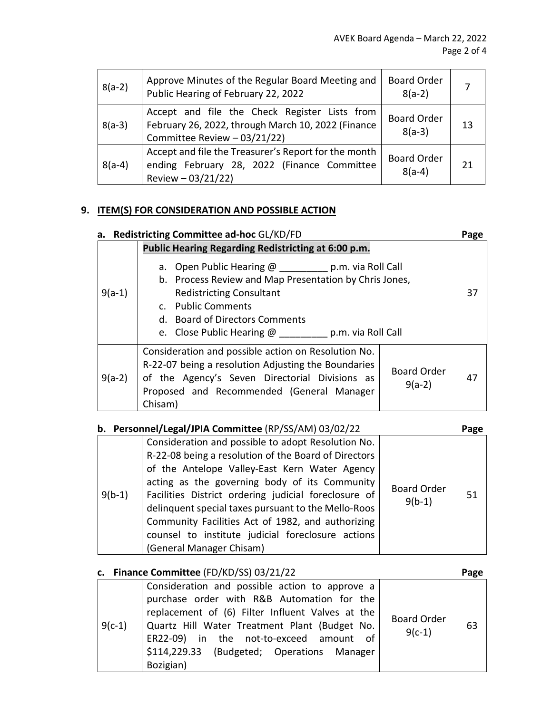| $8(a-2)$ | Approve Minutes of the Regular Board Meeting and<br>Public Hearing of February 22, 2022                                             | <b>Board Order</b><br>$8(a-2)$ |    |
|----------|-------------------------------------------------------------------------------------------------------------------------------------|--------------------------------|----|
| $8(a-3)$ | Accept and file the Check Register Lists from<br>February 26, 2022, through March 10, 2022 (Finance<br>Committee Review - 03/21/22) | <b>Board Order</b><br>$8(a-3)$ | 13 |
| $8(a-4)$ | Accept and file the Treasurer's Report for the month<br>ending February 28, 2022 (Finance Committee<br>Review $-03/21/22$ )         | <b>Board Order</b><br>$8(a-4)$ | 21 |

## **9. ITEM(S) FOR CONSIDERATION AND POSSIBLE ACTION**

|          | a. Redistricting Committee ad-hoc GL/KD/FD                                                                                                                                                                                                                                                                                | Page |
|----------|---------------------------------------------------------------------------------------------------------------------------------------------------------------------------------------------------------------------------------------------------------------------------------------------------------------------------|------|
| $9(a-1)$ | <b>Public Hearing Regarding Redistricting at 6:00 p.m.</b><br>a. Open Public Hearing @ __________ p.m. via Roll Call<br>b. Process Review and Map Presentation by Chris Jones,<br><b>Redistricting Consultant</b><br>c. Public Comments<br>d. Board of Directors Comments<br>e. Close Public Hearing @ p.m. via Roll Call | 37   |
| $9(a-2)$ | Consideration and possible action on Resolution No.<br>R-22-07 being a resolution Adjusting the Boundaries<br><b>Board Order</b><br>of the Agency's Seven Directorial Divisions as<br>$9(a-2)$<br>Proposed and Recommended (General Manager<br>Chisam)                                                                    | 47   |

| b. Personnel/Legal/JPIA Committee (RP/SS/AM) 03/02/22 | Page |
|-------------------------------------------------------|------|
|                                                       |      |

|          | $\sim$ . Crossmer, Ecxarger in the commuted (in 700/700) 00/02/22                                                                                                                                                                                                                                                                                                                                                                                                 |                                | י פי |  |
|----------|-------------------------------------------------------------------------------------------------------------------------------------------------------------------------------------------------------------------------------------------------------------------------------------------------------------------------------------------------------------------------------------------------------------------------------------------------------------------|--------------------------------|------|--|
| $9(b-1)$ | Consideration and possible to adopt Resolution No.<br>R-22-08 being a resolution of the Board of Directors<br>of the Antelope Valley-East Kern Water Agency<br>acting as the governing body of its Community<br>Facilities District ordering judicial foreclosure of<br>delinquent special taxes pursuant to the Mello-Roos<br>Community Facilities Act of 1982, and authorizing<br>counsel to institute judicial foreclosure actions<br>(General Manager Chisam) | <b>Board Order</b><br>$9(b-1)$ | 51   |  |

|          | c. Finance Committee (FD/KD/SS) 03/21/22                                                                                                                                                                                                                                                                |                                | Page |
|----------|---------------------------------------------------------------------------------------------------------------------------------------------------------------------------------------------------------------------------------------------------------------------------------------------------------|--------------------------------|------|
| $9(c-1)$ | Consideration and possible action to approve a<br>purchase order with R&B Automation for the<br>replacement of (6) Filter Influent Valves at the<br>Quartz Hill Water Treatment Plant (Budget No.<br>ER22-09) in the not-to-exceed amount of<br>\$114,229.33 (Budgeted; Operations Manager<br>Bozigian) | <b>Board Order</b><br>$9(c-1)$ | 63   |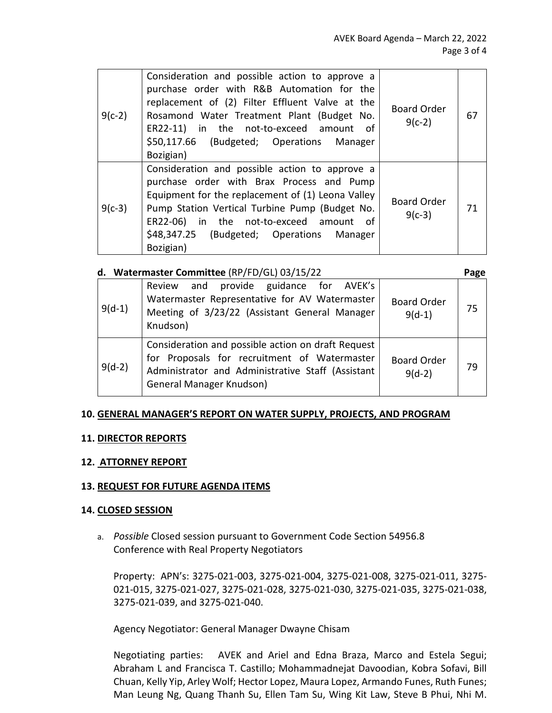| $9(c-2)$ | Consideration and possible action to approve a<br>purchase order with R&B Automation for the<br>replacement of (2) Filter Effluent Valve at the<br>Rosamond Water Treatment Plant (Budget No.<br>ER22-11) in the not-to-exceed amount of<br>\$50,117.66 (Budgeted; Operations Manager<br>Bozigian)      | <b>Board Order</b><br>$9(c-2)$ | 67 |
|----------|---------------------------------------------------------------------------------------------------------------------------------------------------------------------------------------------------------------------------------------------------------------------------------------------------------|--------------------------------|----|
| $9(c-3)$ | Consideration and possible action to approve a<br>purchase order with Brax Process and Pump<br>Equipment for the replacement of (1) Leona Valley<br>Pump Station Vertical Turbine Pump (Budget No.<br>ER22-06) in the not-to-exceed amount of<br>\$48,347.25 (Budgeted; Operations Manager<br>Bozigian) | <b>Board Order</b><br>$9(c-3)$ | 71 |

|          | d. Watermaster Committee (RP/FD/GL) 03/15/22                                                                                                                                        |                                | Page |
|----------|-------------------------------------------------------------------------------------------------------------------------------------------------------------------------------------|--------------------------------|------|
| $9(d-1)$ | Review and provide guidance for AVEK's<br>Watermaster Representative for AV Watermaster<br>Meeting of 3/23/22 (Assistant General Manager<br>Knudson)                                | <b>Board Order</b><br>$9(d-1)$ | 75   |
| $9(d-2)$ | Consideration and possible action on draft Request<br>for Proposals for recruitment of Watermaster<br>Administrator and Administrative Staff (Assistant<br>General Manager Knudson) | <b>Board Order</b><br>$9(d-2)$ | 79   |

#### **10. GENERAL MANAGER'S REPORT ON WATER SUPPLY, PROJECTS, AND PROGRAM**

#### **11. DIRECTOR REPORTS**

### **12. ATTORNEY REPORT**

#### **13. REQUEST FOR FUTURE AGENDA ITEMS**

#### **14. CLOSED SESSION**

a. *Possible* Closed session pursuant to Government Code Section 54956.8 Conference with Real Property Negotiators

Property: APN's: 3275-021-003, 3275-021-004, 3275-021-008, 3275-021-011, 3275- 021-015, 3275-021-027, 3275-021-028, 3275-021-030, 3275-021-035, 3275-021-038, 3275-021-039, and 3275-021-040.

Agency Negotiator: General Manager Dwayne Chisam

Negotiating parties: AVEK and Ariel and Edna Braza, Marco and Estela Segui; Abraham L and Francisca T. Castillo; Mohammadnejat Davoodian, Kobra Sofavi, Bill Chuan, Kelly Yip, Arley Wolf; Hector Lopez, Maura Lopez, Armando Funes, Ruth Funes; Man Leung Ng, Quang Thanh Su, Ellen Tam Su, Wing Kit Law, Steve B Phui, Nhi M.